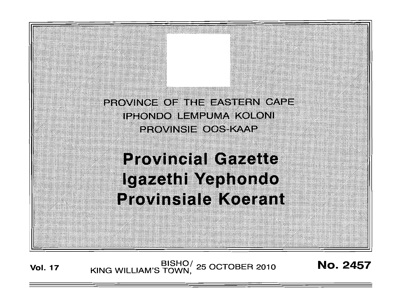PROVINGE OF THE EASTERN CAPE. IPHONDO LEMPUMA KOLONI **PROVINSIE OOS KAAP** 

# **Provincial Gazette** Igazethi Yephondo **Provinsiale Koerant**

**No. 2457** 

BISHO/ 25 OCTOBER 2010<br>KING WILLIAM'S TOWN, 25 OCTOBER 2010 **Vol. 17**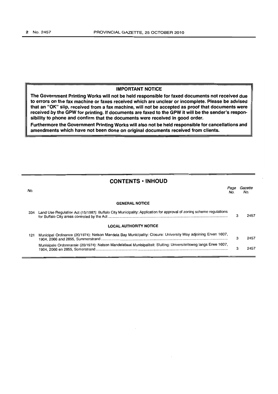## **IMPORTANT NOTICE**

**The Government Printing Works will not be held responsible for faxed documents not received due to errors on the fax machine or faxes received which are unclear or incomplete. Please be advised that an "OK" slip, received from a fax machine, will not be accepted as proof that documents were received by the GPW for printing. If documents are faxed to the GPW it will be the sender's responsibility to phone and confirm that the documents were received in good order.** 

**Furthermore the Government Printing Works will also not be held responsible for cancellations and amendments which have not been done on original documents received from clients.** 

|     | <b>CONTENTS • INHOUD</b>                                                                                            |             |                |
|-----|---------------------------------------------------------------------------------------------------------------------|-------------|----------------|
| No. |                                                                                                                     | Page<br>No. | Gazette<br>No. |
|     | <b>GENERAL NOTICE</b>                                                                                               |             |                |
| 334 | Land Use Regulation Act (15/1987): Buffalo City Municipality: Application for approval of zoning scheme regulations | з           | 2457           |
|     | <b>LOCAL AUTHORITY NOTICE</b>                                                                                       |             |                |
| 121 | Municipal Ordinance (20/1974): Nelson Mandela Bay Municipality: Closure: University Way adjoining Erven 1607,       |             | 2457           |
|     | Munisipale Ordonnansie (20/1974): Nelson Mandelabaai Munisipaliteit: Sluiting: Universiteitsweg langs Erwe 1607,    | 3           | 2457           |